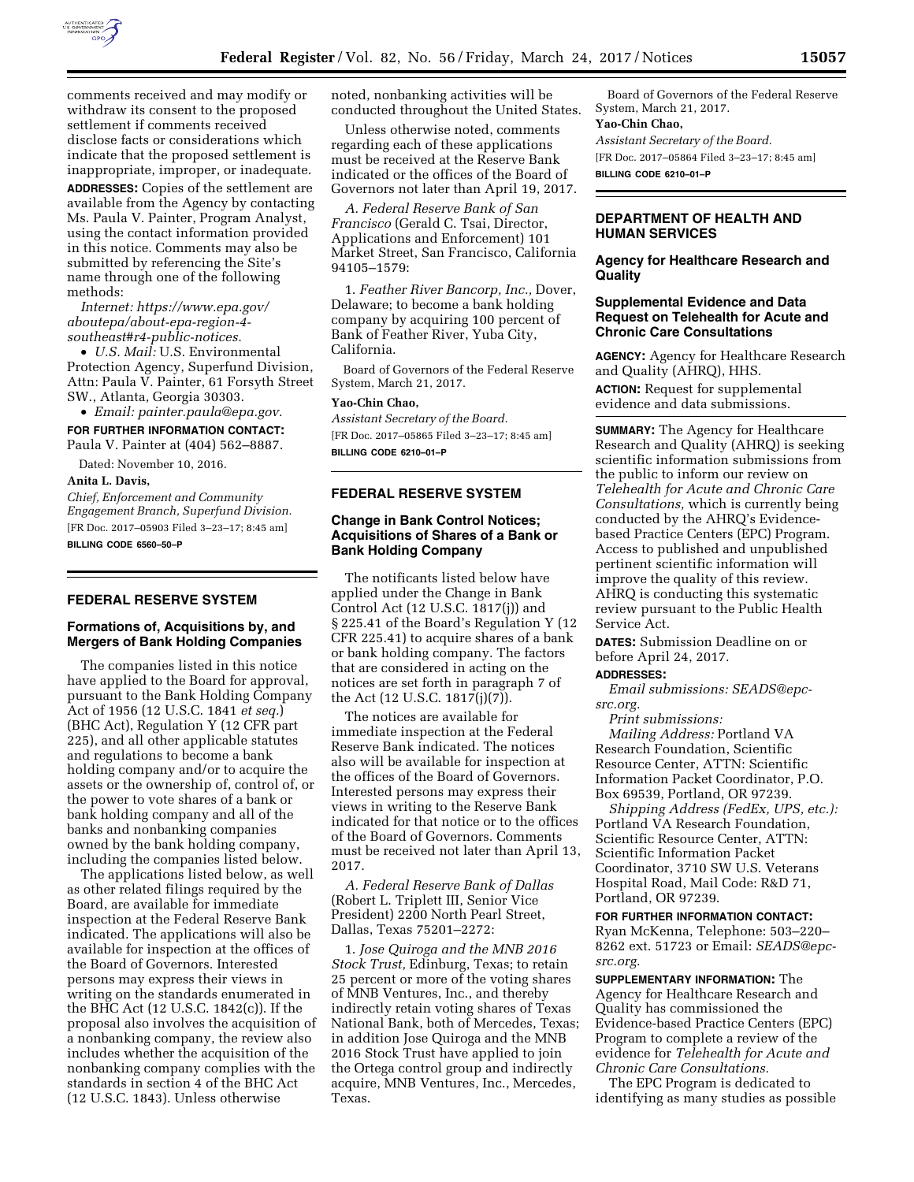

comments received and may modify or withdraw its consent to the proposed settlement if comments received disclose facts or considerations which indicate that the proposed settlement is inappropriate, improper, or inadequate. **ADDRESSES:** Copies of the settlement are available from the Agency by contacting Ms. Paula V. Painter, Program Analyst, using the contact information provided in this notice. Comments may also be submitted by referencing the Site's name through one of the following methods:

*Internet: [https://www.epa.gov/](https://www.epa.gov/aboutepa/about-epa-region-4-southeast#r4-public-notices) [aboutepa/about-epa-region-4](https://www.epa.gov/aboutepa/about-epa-region-4-southeast#r4-public-notices) [southeast#r4-public-notices.](https://www.epa.gov/aboutepa/about-epa-region-4-southeast#r4-public-notices)* 

• *U.S. Mail:* U.S. Environmental Protection Agency, Superfund Division, Attn: Paula V. Painter, 61 Forsyth Street SW., Atlanta, Georgia 30303.

# • *Email: [painter.paula@epa.gov.](mailto:painter.paula@epa.gov)*  **FOR FURTHER INFORMATION CONTACT:**  Paula V. Painter at (404) 562–8887.

Dated: November 10, 2016.

**Anita L. Davis,** 

*Chief, Enforcement and Community Engagement Branch, Superfund Division.*  [FR Doc. 2017–05903 Filed 3–23–17; 8:45 am] **BILLING CODE 6560–50–P** 

# **FEDERAL RESERVE SYSTEM**

# **Formations of, Acquisitions by, and Mergers of Bank Holding Companies**

The companies listed in this notice have applied to the Board for approval, pursuant to the Bank Holding Company Act of 1956 (12 U.S.C. 1841 *et seq.*) (BHC Act), Regulation Y (12 CFR part 225), and all other applicable statutes and regulations to become a bank holding company and/or to acquire the assets or the ownership of, control of, or the power to vote shares of a bank or bank holding company and all of the banks and nonbanking companies owned by the bank holding company, including the companies listed below.

The applications listed below, as well as other related filings required by the Board, are available for immediate inspection at the Federal Reserve Bank indicated. The applications will also be available for inspection at the offices of the Board of Governors. Interested persons may express their views in writing on the standards enumerated in the BHC Act (12 U.S.C. 1842(c)). If the proposal also involves the acquisition of a nonbanking company, the review also includes whether the acquisition of the nonbanking company complies with the standards in section 4 of the BHC Act (12 U.S.C. 1843). Unless otherwise

noted, nonbanking activities will be conducted throughout the United States.

Unless otherwise noted, comments regarding each of these applications must be received at the Reserve Bank indicated or the offices of the Board of Governors not later than April 19, 2017.

*A. Federal Reserve Bank of San Francisco* (Gerald C. Tsai, Director, Applications and Enforcement) 101 Market Street, San Francisco, California 94105–1579:

1. *Feather River Bancorp, Inc.,* Dover, Delaware; to become a bank holding company by acquiring 100 percent of Bank of Feather River, Yuba City, California.

Board of Governors of the Federal Reserve System, March 21, 2017.

#### **Yao-Chin Chao,**

*Assistant Secretary of the Board.*  [FR Doc. 2017–05865 Filed 3–23–17; 8:45 am] **BILLING CODE 6210–01–P** 

## **FEDERAL RESERVE SYSTEM**

# **Change in Bank Control Notices; Acquisitions of Shares of a Bank or Bank Holding Company**

The notificants listed below have applied under the Change in Bank Control Act (12 U.S.C. 1817(j)) and § 225.41 of the Board's Regulation Y (12 CFR 225.41) to acquire shares of a bank or bank holding company. The factors that are considered in acting on the notices are set forth in paragraph 7 of the Act (12 U.S.C. 1817(j)(7)).

The notices are available for immediate inspection at the Federal Reserve Bank indicated. The notices also will be available for inspection at the offices of the Board of Governors. Interested persons may express their views in writing to the Reserve Bank indicated for that notice or to the offices of the Board of Governors. Comments must be received not later than April 13, 2017.

*A. Federal Reserve Bank of Dallas*  (Robert L. Triplett III, Senior Vice President) 2200 North Pearl Street, Dallas, Texas 75201–2272:

1. *Jose Quiroga and the MNB 2016 Stock Trust,* Edinburg, Texas; to retain 25 percent or more of the voting shares of MNB Ventures, Inc., and thereby indirectly retain voting shares of Texas National Bank, both of Mercedes, Texas; in addition Jose Quiroga and the MNB 2016 Stock Trust have applied to join the Ortega control group and indirectly acquire, MNB Ventures, Inc., Mercedes, Texas.

Board of Governors of the Federal Reserve System, March 21, 2017.

#### **Yao-Chin Chao,**

*Assistant Secretary of the Board.*  [FR Doc. 2017–05864 Filed 3–23–17; 8:45 am] **BILLING CODE 6210–01–P** 

# **DEPARTMENT OF HEALTH AND HUMAN SERVICES**

# **Agency for Healthcare Research and Quality**

## **Supplemental Evidence and Data Request on Telehealth for Acute and Chronic Care Consultations**

**AGENCY:** Agency for Healthcare Research and Quality (AHRQ), HHS.

**ACTION:** Request for supplemental evidence and data submissions.

**SUMMARY:** The Agency for Healthcare Research and Quality (AHRQ) is seeking scientific information submissions from the public to inform our review on *Telehealth for Acute and Chronic Care Consultations,* which is currently being conducted by the AHRQ's Evidencebased Practice Centers (EPC) Program. Access to published and unpublished pertinent scientific information will improve the quality of this review. AHRQ is conducting this systematic review pursuant to the Public Health Service Act.

**DATES:** Submission Deadline on or before April 24, 2017.

### **ADDRESSES:**

*Email submissions: [SEADS@epc](mailto:SEADS@epc-src.org)[src.org.](mailto:SEADS@epc-src.org)* 

*Print submissions: Mailing Address:* Portland VA Research Foundation, Scientific Resource Center, ATTN: Scientific Information Packet Coordinator, P.O. Box 69539, Portland, OR 97239.

*Shipping Address (FedEx, UPS, etc.):*  Portland VA Research Foundation, Scientific Resource Center, ATTN: Scientific Information Packet Coordinator, 3710 SW U.S. Veterans Hospital Road, Mail Code: R&D 71, Portland, OR 97239.

**FOR FURTHER INFORMATION CONTACT:**  Ryan McKenna, Telephone: 503–220– 8262 ext. 51723 or Email: *[SEADS@epc](mailto:SEADS@epc-src.org)[src.org.](mailto:SEADS@epc-src.org)* 

**SUPPLEMENTARY INFORMATION:** The Agency for Healthcare Research and Quality has commissioned the Evidence-based Practice Centers (EPC) Program to complete a review of the evidence for *Telehealth for Acute and Chronic Care Consultations.* 

The EPC Program is dedicated to identifying as many studies as possible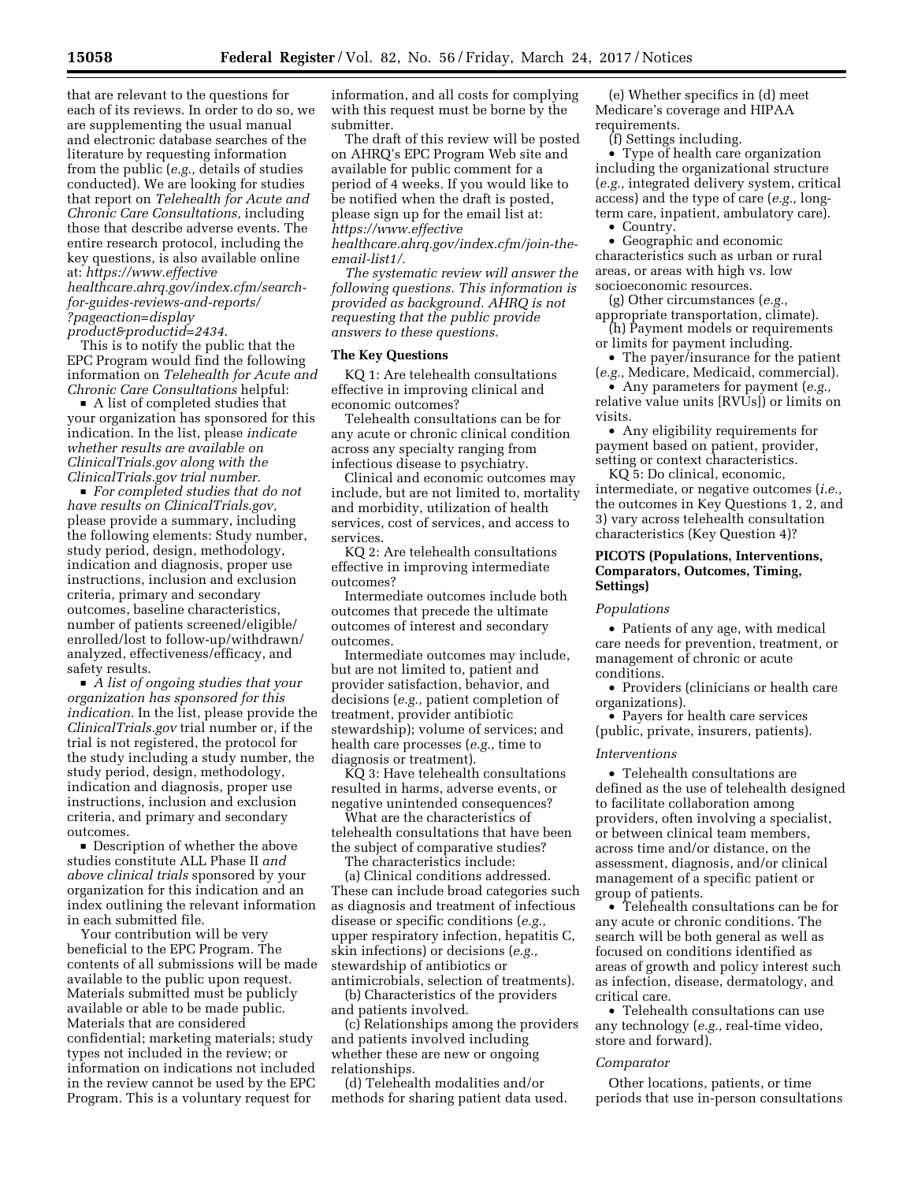that are relevant to the questions for each of its reviews. In order to do so, we are supplementing the usual manual and electronic database searches of the literature by requesting information from the public (*e.g.,* details of studies conducted). We are looking for studies that report on *Telehealth for Acute and Chronic Care Consultations,* including those that describe adverse events. The entire research protocol, including the key questions, is also available online at: *[https://www.effective](https://www.effectivehealthcare.ahrq.gov/index.cfm/search-for-guides-reviews-and-reports/?pageaction=displayproduct&productid=2434) [healthcare.ahrq.gov/index.cfm/search-](https://www.effectivehealthcare.ahrq.gov/index.cfm/search-for-guides-reviews-and-reports/?pageaction=displayproduct&productid=2434)*

*[for-guides-reviews-and-reports/](https://www.effectivehealthcare.ahrq.gov/index.cfm/search-for-guides-reviews-and-reports/?pageaction=displayproduct&productid=2434)  [?pageaction=display](https://www.effectivehealthcare.ahrq.gov/index.cfm/search-for-guides-reviews-and-reports/?pageaction=displayproduct&productid=2434)*

*[product&productid=2434](https://www.effectivehealthcare.ahrq.gov/index.cfm/search-for-guides-reviews-and-reports/?pageaction=displayproduct&productid=2434)*.

This is to notify the public that the EPC Program would find the following information on *Telehealth for Acute and Chronic Care Consultations* helpful:

 $\blacksquare$  A list of completed studies that your organization has sponsored for this indication. In the list, please *indicate whether results are available on ClinicalTrials.gov along with the ClinicalTrials.gov trial number.* 

■ *For completed studies that do not have results on ClinicalTrials.gov,*  please provide a summary, including the following elements: Study number, study period, design, methodology, indication and diagnosis, proper use instructions, inclusion and exclusion criteria, primary and secondary outcomes, baseline characteristics, number of patients screened/eligible/ enrolled/lost to follow-up/withdrawn/ analyzed, effectiveness/efficacy, and safety results.

■ *A list of ongoing studies that your organization has sponsored for this indication.* In the list, please provide the *ClinicalTrials.gov* trial number or, if the trial is not registered, the protocol for the study including a study number, the study period, design, methodology, indication and diagnosis, proper use instructions, inclusion and exclusion criteria, and primary and secondary outcomes.

• Description of whether the above studies constitute ALL Phase II *and above clinical trials* sponsored by your organization for this indication and an index outlining the relevant information in each submitted file.

Your contribution will be very beneficial to the EPC Program. The contents of all submissions will be made available to the public upon request. Materials submitted must be publicly available or able to be made public. Materials that are considered confidential; marketing materials; study types not included in the review; or information on indications not included in the review cannot be used by the EPC Program. This is a voluntary request for

information, and all costs for complying with this request must be borne by the submitter.

The draft of this review will be posted on AHRQ's EPC Program Web site and available for public comment for a period of 4 weeks. If you would like to be notified when the draft is posted, please sign up for the email list at: *[https://www.effective](https://www.effectivehealthcare.ahrq.gov/index.cfm/join-the-email-list1/) [healthcare.ahrq.gov/index.cfm/join-the-](https://www.effectivehealthcare.ahrq.gov/index.cfm/join-the-email-list1/)*

*[email-list1/.](https://www.effectivehealthcare.ahrq.gov/index.cfm/join-the-email-list1/)* 

*The systematic review will answer the following questions. This information is provided as background. AHRQ is not requesting that the public provide answers to these questions.* 

#### **The Key Questions**

KQ 1: Are telehealth consultations effective in improving clinical and economic outcomes?

Telehealth consultations can be for any acute or chronic clinical condition across any specialty ranging from infectious disease to psychiatry.

Clinical and economic outcomes may include, but are not limited to, mortality and morbidity, utilization of health services, cost of services, and access to services.

KQ 2: Are telehealth consultations effective in improving intermediate outcomes?

Intermediate outcomes include both outcomes that precede the ultimate outcomes of interest and secondary outcomes.

Intermediate outcomes may include, but are not limited to, patient and provider satisfaction, behavior, and decisions (*e.g.,* patient completion of treatment, provider antibiotic stewardship); volume of services; and health care processes (*e.g.,* time to diagnosis or treatment).

KQ 3: Have telehealth consultations resulted in harms, adverse events, or negative unintended consequences?

What are the characteristics of telehealth consultations that have been the subject of comparative studies?

The characteristics include:

(a) Clinical conditions addressed. These can include broad categories such as diagnosis and treatment of infectious disease or specific conditions (*e.g.,*  upper respiratory infection, hepatitis C, skin infections) or decisions (*e.g.,*  stewardship of antibiotics or antimicrobials, selection of treatments).

(b) Characteristics of the providers and patients involved.

(c) Relationships among the providers and patients involved including whether these are new or ongoing relationships.

(d) Telehealth modalities and/or methods for sharing patient data used.

(e) Whether specifics in (d) meet Medicare's coverage and HIPAA requirements.

(f) Settings including.

• Type of health care organization including the organizational structure (*e.g.,* integrated delivery system, critical access) and the type of care (*e.g.,* longterm care, inpatient, ambulatory care).

• Country.

• Geographic and economic characteristics such as urban or rural areas, or areas with high vs. low socioeconomic resources.

(g) Other circumstances (*e.g.,*  appropriate transportation, climate).

(h) Payment models or requirements or limits for payment including.

• The payer/insurance for the patient (*e.g.,* Medicare, Medicaid, commercial).

• Any parameters for payment (*e.g.,*  relative value units [RVUs]) or limits on visits.

• Any eligibility requirements for payment based on patient, provider, setting or context characteristics.

KQ 5: Do clinical, economic, intermediate, or negative outcomes (*i.e.,*  the outcomes in Key Questions 1, 2, and 3) vary across telehealth consultation characteristics (Key Question 4)?

# **PICOTS (Populations, Interventions, Comparators, Outcomes, Timing, Settings)**

#### *Populations*

• Patients of any age, with medical care needs for prevention, treatment, or management of chronic or acute conditions.

• Providers (clinicians or health care organizations).

• Payers for health care services (public, private, insurers, patients).

### *Interventions*

• Telehealth consultations are defined as the use of telehealth designed to facilitate collaboration among providers, often involving a specialist, or between clinical team members, across time and/or distance, on the assessment, diagnosis, and/or clinical management of a specific patient or group of patients.

• Telehealth consultations can be for any acute or chronic conditions. The search will be both general as well as focused on conditions identified as areas of growth and policy interest such as infection, disease, dermatology, and critical care.

• Telehealth consultations can use any technology (*e.g.,* real-time video, store and forward).

#### *Comparator*

Other locations, patients, or time periods that use in-person consultations